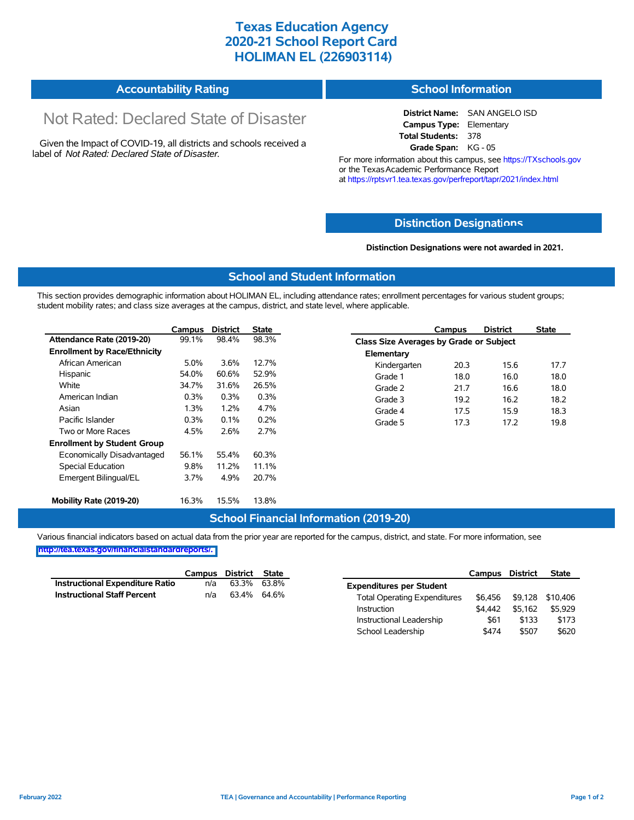## **Texas Education Agency 2020-21 School Report Card HOLIMAN EL (226903114)**

| <b>Accountability Rating</b> | <b>School Information</b> |
|------------------------------|---------------------------|
|------------------------------|---------------------------|

# Not Rated: Declared State of Disaster

Given the Impact of COVID-19, all districts and schools received a label of *Not Rated: Declared State of Disaster.*

**District Name:** SAN ANGELO ISD **Campus Type:** Elementary **Total Students:** 378 **Grade Span:** KG - 05

For more information about this campus, see https://TXschools.gov or the Texas Academic Performance Report at https://rptsvr1.tea.texas.gov/perfreport/tapr/2021/index.html

#### **Distinction Designat[ions](https://TXschools.gov)**

**Distinction Designations were not awarded in 2021.**

School Leadership  $$474$  \$507 \$620

#### **School and Student Information**

This section provides demographic information about HOLIMAN EL, including attendance rates; enrollment percentages for various student groups; student mobility rates; and class size averages at the campus, district, and state level, where applicable.

|                                     | Campus | <b>District</b>               | State |            | Campus                                  | <b>District</b> | <b>State</b> |  |  |
|-------------------------------------|--------|-------------------------------|-------|------------|-----------------------------------------|-----------------|--------------|--|--|
| Attendance Rate (2019-20)           | 99.1%  | 98.4%                         | 98.3% |            | Class Size Averages by Grade or Subject |                 |              |  |  |
| <b>Enrollment by Race/Ethnicity</b> |        |                               |       | Elementary |                                         |                 |              |  |  |
| African American                    | 5.0%   | 3.6%<br>12.7%<br>Kindergarten |       | 20.3       | 15.6                                    | 17.7            |              |  |  |
| Hispanic                            | 54.0%  | 60.6%                         | 52.9% | Grade 1    | 18.0                                    | 16.0            | 18.0         |  |  |
| White                               | 34.7%  | 31.6%                         | 26.5% | Grade 2    | 21.7                                    | 16.6            | 18.0         |  |  |
| American Indian                     | 0.3%   | 0.3%                          | 0.3%  | Grade 3    | 19.2                                    | 16.2            | 18.2         |  |  |
| Asian                               | 1.3%   | 1.2%                          | 4.7%  | Grade 4    | 17.5                                    | 15.9            | 18.3         |  |  |
| Pacific Islander                    | 0.3%   | 0.1%                          | 0.2%  | Grade 5    | 17.3                                    | 17.2            | 19.8         |  |  |
| Two or More Races                   | 4.5%   | 2.6%                          | 2.7%  |            |                                         |                 |              |  |  |
| <b>Enrollment by Student Group</b>  |        |                               |       |            |                                         |                 |              |  |  |
| Economically Disadvantaged          | 56.1%  | 55.4%                         | 60.3% |            |                                         |                 |              |  |  |
| <b>Special Education</b>            | 9.8%   | 11.2%                         | 11.1% |            |                                         |                 |              |  |  |
| Emergent Bilingual/EL               | 3.7%   | 4.9%                          | 20.7% |            |                                         |                 |              |  |  |
|                                     |        |                               |       |            |                                         |                 |              |  |  |
| Mobility Rate (2019-20)             | 16.3%  | 15.5%                         | 13.8% |            |                                         |                 |              |  |  |

#### **School Financial Information (2019-20)**

Various financial indicators based on actual data from the prior year are reported for the campus, district, and state. For more information, see

**[http://tea.texas.gov/financialstandardreports/.](http://tea.texas.gov/financialstandardreports/)**

|                                        | Campus | District | State       |                                     | Campus  | <b>District</b> | <b>State</b>     |
|----------------------------------------|--------|----------|-------------|-------------------------------------|---------|-----------------|------------------|
| <b>Instructional Expenditure Ratio</b> | n/a    | 63.3%    | 63.8%       | <b>Expenditures per Student</b>     |         |                 |                  |
| <b>Instructional Staff Percent</b>     | n/a    |          | 63.4% 64.6% | <b>Total Operating Expenditures</b> | \$6.456 |                 | \$9,128 \$10,406 |
|                                        |        |          |             | Instruction                         | \$4.442 | \$5.162         | \$5.929          |
|                                        |        |          |             | Instructional Leadership            | \$61    | \$133           | \$173            |